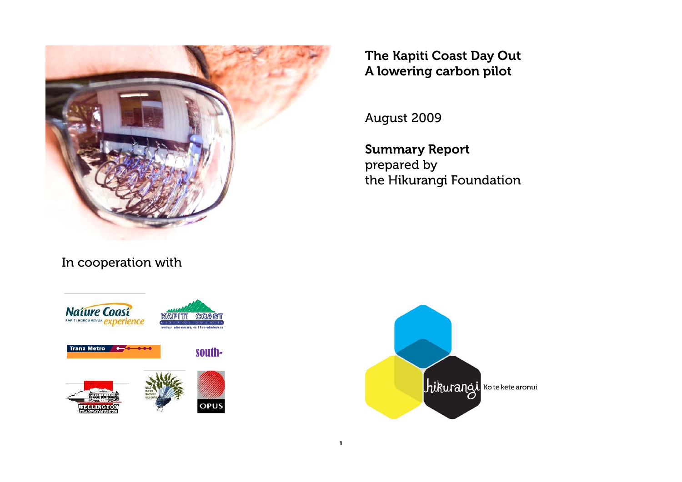

Nature Coast **Tranz Metro** south-**OPUS**  The Kapiti Coast Day Out A lowering carbon pilot

August 2009

Summary Report

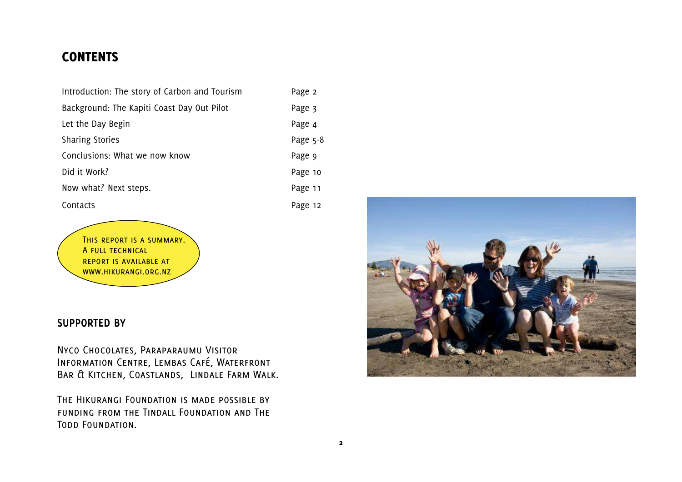# **CONTENTS**

| Introduction: The story of Carbon and Tourism | Page 2   |
|-----------------------------------------------|----------|
| Background: The Kapiti Coast Day Out Pilot    | Page 3   |
| Let the Day Begin                             | Page 4   |
| <b>Sharing Stories</b>                        | Page 5-8 |
| Conclusions: What we now know                 | Page 9   |
| Did it Work?                                  | Page 10  |
| Now what? Next steps.                         | Page 11  |
| Contacts                                      | Page 12  |

This report is a summary. A FULL TECHNICAL report is available at www.hikurangi.org.nz

# SUPPORTED BY

Nyco Chocolates, Paraparaumu Visitor Information Centre, Lembas Café, Waterfront Bar & Kitchen, Coastlands, Lindale Farm Walk.

The Hikurangi Foundation is made possible by funding from the Tindall Foundation and The Todd Foundation.

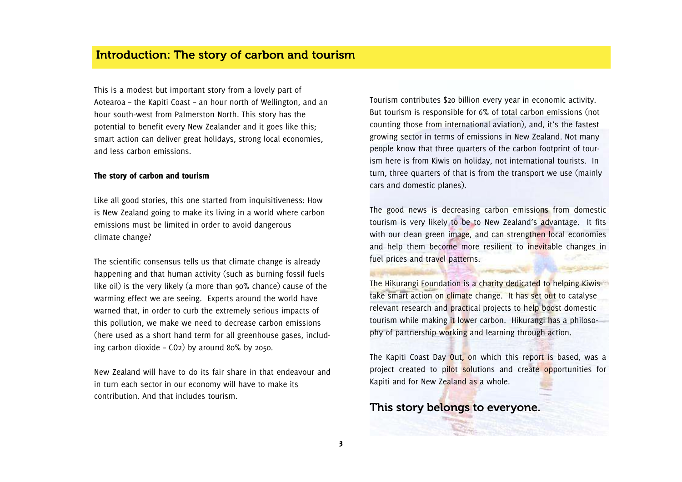This is a modest but important story from a lovely part of Aotearoa – the Kapiti Coast – an hour north of Wellington, and an hour south-west from Palmerston North. This story has the potential to benefit every New Zealander and it goes like this; smart action can deliver great holidays, strong local economies, and less carbon emissions.

### The story of carbon and tourism

Like all good stories, this one started from inquisitiveness: How is New Zealand going to make its living in a world where carbon emissions must be limited in order to avoid dangerous climate change?

The scientific consensus tells us that climate change is already happening and that human activity (such as burning fossil fuels like oil) is the very likely (a more than 90% chance) cause of the warming effect we are seeing. Experts around the world have warned that, in order to curb the extremely serious impacts of this pollution, we make we need to decrease carbon emissions (here used as a short hand term for all greenhouse gases, including carbon dioxide – CO2) by around 80% by 2050.

New Zealand will have to do its fair share in that endeavour and in turn each sector in our economy will have to make its contribution. And that includes tourism.

Tourism contributes \$20 billion every year in economic activity. But tourism is responsible for 6% of total carbon emissions (not counting those from international aviation), and, it's the fastest growing sector in terms of emissions in New Zealand. Not many people know that three quarters of the carbon footprint of tourism here is from Kiwis on holiday, not international tourists. In turn, three quarters of that is from the transport we use (mainly cars and domestic planes).

The good news is decreasing carbon emissions from domestic tourism is very likely to be to New Zealand's advantage. It fits with our clean green image, and can strengthen local economies and help them become more resilient to inevitable changes in fuel prices and travel patterns.

The Hikurangi Foundation is a charity dedicated to helping Kiwis take smart action on climate change. It has set out to catalyse relevant research and practical projects to help boost domestic tourism while making it lower carbon. Hikurangi has a philosophy of partnership working and learning through action.

The Kapiti Coast Day Out, on which this report is based, was a project created to pilot solutions and create opportunities for Kapiti and for New Zealand as a whole.

This story belongs to everyone.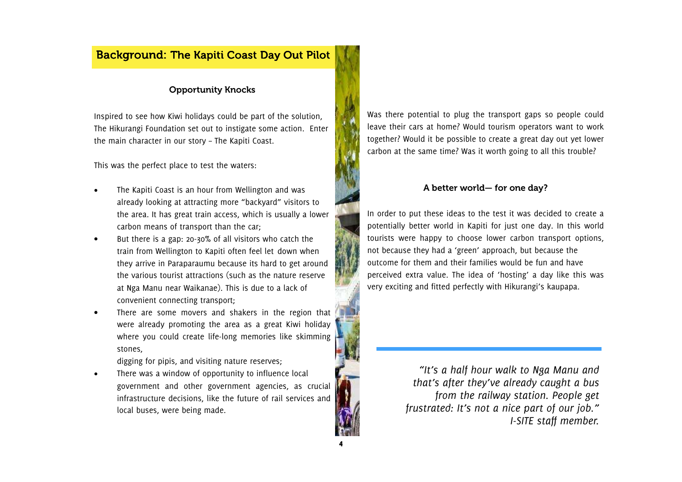# Background: The Kapiti Coast Day Out Pilot

### Opportunity Knocks

Inspired to see how Kiwi holidays could be part of the solution, The Hikurangi Foundation set out to instigate some action. Enter the main character in our story – The Kapiti Coast.

This was the perfect place to test the waters:

- The Kapiti Coast is an hour from Wellington and was already looking at attracting more "backyard" visitors to the area. It has great train access, which is usually a lower carbon means of transport than the car;
- But there is a gap: 20-30% of all visitors who catch the train from Wellington to Kapiti often feel let down when they arrive in Paraparaumu because its hard to get around the various tourist attractions (such as the nature reserve at Nga Manu near Waikanae). This is due to a lack of convenient connecting transport;
- There are some movers and shakers in the region that were already promoting the area as a great Kiwi holiday where you could create life-long memories like skimming stones,

digging for pipis, and visiting nature reserves;

There was a window of opportunity to influence local government and other government agencies, as crucial infrastructure decisions, like the future of rail services and local buses, were being made.

Was there potential to plug the transport gaps so people could leave their cars at home? Would tourism operators want to work together? Would it be possible to create a great day out yet lower carbon at the same time? Was it worth going to all this trouble?

### A better world— for one day?

In order to put these ideas to the test it was decided to create a potentially better world in Kapiti for just one day. In this world tourists were happy to choose lower carbon transport options, not because they had a 'green' approach, but because the outcome for them and their families would be fun and have perceived extra value. The idea of 'hosting' a day like this was very exciting and fitted perfectly with Hikurangi's kaupapa.

> *"It's a half hour walk to Nga Manu and that's after they've already caught a bus from the railway station. People get frustrated: It's not a nice part of our job." I-SITE staff member.*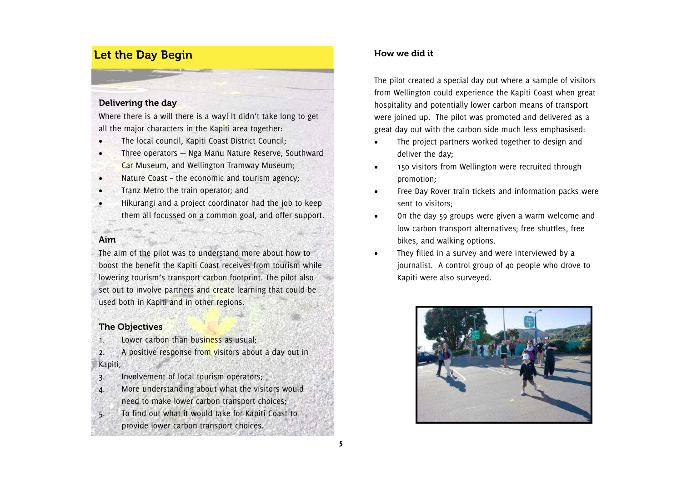# Let the Day Begin

### Delivering the day

Where there is a will there is a way! It didn't take long to get all the major characters in the Kapiti area together:

- The local council, Kapiti Coast District Council;
- Three operators Nga Manu Nature Reserve, Southward
- Car Museum, and Wellington Tramway Museum;
- Nature Coast the economic and tourism agency:
- Tranz Metro the train operator; and
- Hikurangi and a project coordinator had the job to keep them all focussed on a common goal, and offer support.

# Aim

The aim of the pilot was to understand more about how to boost the benefit the Kapiti Coast receives from tourism while lowering tourism's transport carbon footprint. The pilot also set out to involve partners and create learning that could be used both in Kapiti and in other regions.

# The Objectives

1. Lower carbon than business as usual;

2. A positive response from visitors about a day out in Kapiti;

3. Involvement of local tourism operators;

4. More understanding about what the visitors would need to make lower carbon transport choices; 5. To find out what it would take for Kapiti Coast to provide lower carbon transport choices.

# **h h How** we did it

The pilot created a special day out where a sample of visitors from Wellington could experience the Kapiti Coast when great hospitality and potentially lower carbon means of transport were joined up. The pilot was promoted and delivered as a great day out with the carbon side much less emphasised:

- The project partners worked together to design and deliver the day;
- 150 visitors from Wellington were recruited throughpromotion;
- Free Day Rover train tickets and information packs were sent to visitors;
- On the day 59 groups were given a warm welcome and low carbon transport alternatives; free shuttles, free bikes, and walking options.
- They filled in a survey and were interviewed by a journalist. A control group of 40 people who drove to Kapiti were also surveyed.

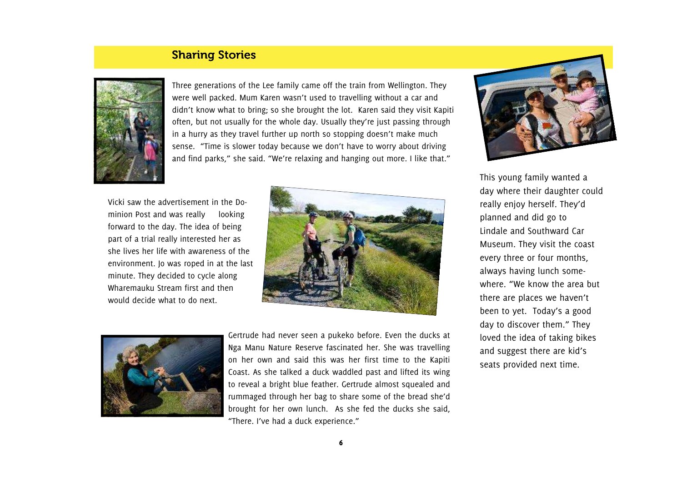# Sharing Stories



Three generations of the Lee family came off the train from Wellington. They were well packed. Mum Karen wasn't used to travelling without a car and didn't know what to bring; so she brought the lot. Karen said they visit Kapiti often, but not usually for the whole day. Usually they're just passing through in a hurry as they travel further up north so stopping doesn't make much sense. "Time is slower today because we don't have to worry about driving and find parks," she said. "We're relaxing and hanging out more. I like that."

Vicki saw the advertisement in the Dominion Post and was really looking forward to the day. The idea of being part of a trial really interested her as she lives her life with awareness of the environment. Jo was roped in at the last minute. They decided to cycle along Wharemauku Stream first and then would decide what to do next.





Gertrude had never seen a pukeko before. Even the ducks at Nga Manu Nature Reserve fascinated her. She was travelling on her own and said this was her first time to the Kapiti Coast. As she talked a duck waddled past and lifted its wing to reveal a bright blue feather. Gertrude almost squealed and rummaged through her bag to share some of the bread she'd brought for her own lunch. As she fed the ducks she said, "There. I've had a duck experience."



This young family wanted a day where their daughter could really enjoy herself. They'd planned and did go to Lindale and Southward Car Museum. They visit the coast every three or four months, always having lunch somewhere. "We know the area but there are places we haven't been to yet. Today's a good day to discover them." They loved the idea of taking bikes and suggest there are kid's seats provided next time.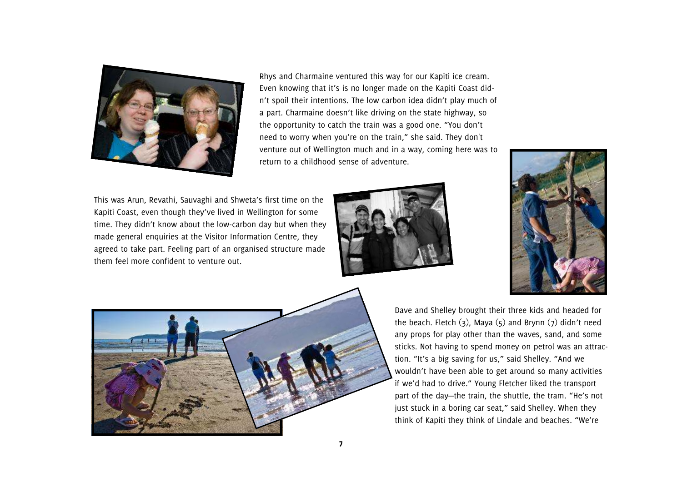

Rhys and Charmaine ventured this way for our Kapiti ice cream. Even knowing that it's is no longer made on the Kapiti Coast didn't spoil their intentions. The low carbon idea didn't play much of a part. Charmaine doesn't like driving on the state highway, so the opportunity to catch the train was a good one. "You don't need to worry when you're on the train," she said. They don't venture out of Wellington much and in a way, coming here was to return to a childhood sense of adventure.

This was Arun, Revathi, Sauvaghi and Shweta's first time on the Kapiti Coast, even though they've lived in Wellington for some time. They didn't know about the low-carbon day but when they made general enquiries at the Visitor Information Centre, they agreed to take part. Feeling part of an organised structure made them feel more confident to venture out.







Dave and Shelley brought their three kids and headed for the beach. Fletch  $(3)$ , Maya  $(5)$  and Brynn  $(7)$  didn't need any props for play other than the waves, sand, and some sticks. Not having to spend money on petrol was an attraction. "It's a big saving for us," said Shelley. "And we wouldn't have been able to get around so many activities if we'd had to drive." Young Fletcher liked the transport part of the day—the train, the shuttle, the tram. "He's not just stuck in a boring car seat," said Shelley. When they think of Kapiti they think of Lindale and beaches. "We're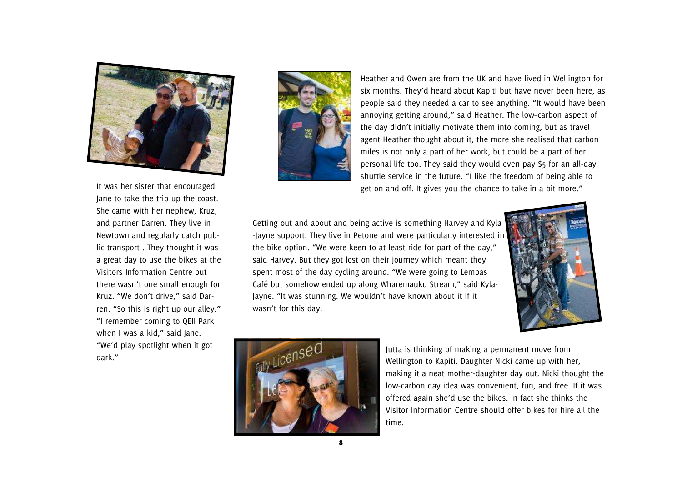

It was her sister that encouraged Jane to take the trip up the coast. She came with her nephew, Kruz, and partner Darren. They live in Newtown and regularly catch public transport . They thought it was a great day to use the bikes at the Visitors Information Centre but there wasn't one small enough for Kruz. "We don't drive," said Darren. "So this is right up our alley." "I remember coming to QEII Park when I was a kid," said Jane. "We'd play spotlight when it got dark."



Heather and Owen are from the UK and have lived in Wellington for six months. They'd heard about Kapiti but have never been here, as people said they needed a car to see anything. "It would have been annoying getting around," said Heather. The low–carbon aspect of the day didn't initially motivate them into coming, but as travel agent Heather thought about it, the more she realised that carbon miles is not only a part of her work, but could be a part of her personal life too. They said they would even pay \$5 for an all-day shuttle service in the future. "I like the freedom of being able to get on and off. It gives you the chance to take in a bit more."

Getting out and about and being active is something Harvey and Kyla -Jayne support. They live in Petone and were particularly interested in the bike option. "We were keen to at least ride for part of the day," said Harvey. But they got lost on their journey which meant they spent most of the day cycling around. "We were going to Lembas Café but somehow ended up along Wharemauku Stream," said Kyla-Jayne. "It was stunning. We wouldn't have known about it if it wasn't for this day.





Jutta is thinking of making a permanent move from Wellington to Kapiti. Daughter Nicki came up with her, making it a neat mother-daughter day out. Nicki thought the low-carbon day idea was convenient, fun, and free. If it was offered again she'd use the bikes. In fact she thinks the Visitor Information Centre should offer bikes for hire all the time.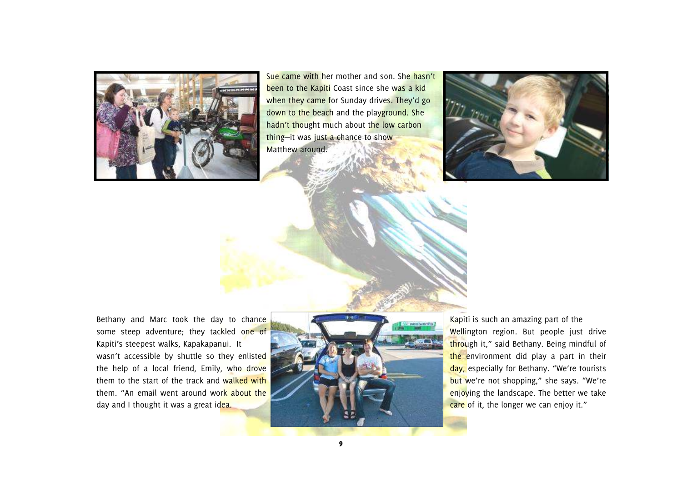

Sue came with her mother and son. She hasn't been to the Kapiti Coast since she was a kid when they came for Sunday drives. They'd go down to the beach and the playground. She hadn't thought much about the low carbon thing-it was just a chance to show Matthew around.



Bethany and Marc took the day to chance some steep adventure; they tackled one of Kapiti's steepest walks, Kapakapanui. It wasn't accessible by shuttle so they enlisted the help of a local friend, Emily, who drove them to the start of the track and walked with them. "An email went around work about the day and I thought it was a great idea.



Kapiti is such an amazing part of the Wellington region. But people just drive through it," said Bethany. Being mindful of the environment did play a part in their day, especially for Bethany. "We're tourists but we're not shopping," she says. "We're enjoying the landscape. The better we take care of it, the longer we can enjoy it."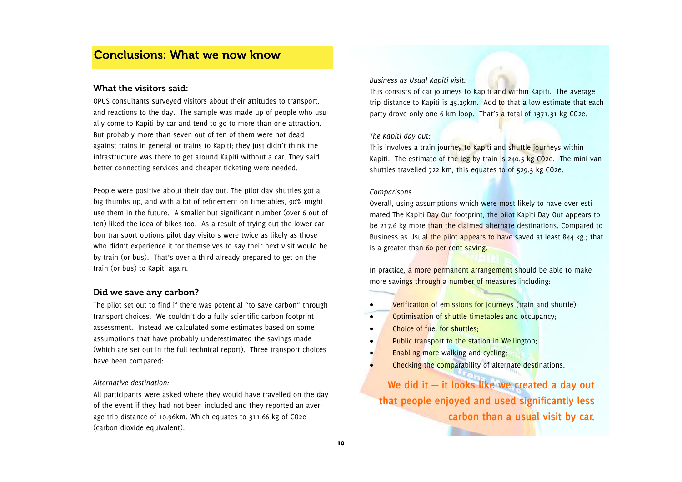# Conclusions: What we now know

#### What the visitors said:

OPUS consultants surveyed visitors about their attitudes to transport, and reactions to the day. The sample was made up of people who usually come to Kapiti by car and tend to go to more than one attraction. But probably more than seven out of ten of them were not dead against trains in general or trains to Kapiti; they just didn't think the infrastructure was there to get around Kapiti without a car. They said better connecting services and cheaper ticketing were needed.

People were positive about their day out. The pilot day shuttles got a big thumbs up, and with a bit of refinement on timetables, 90% might use them in the future. A smaller but significant number (over 6 out of ten) liked the idea of bikes too. As a result of trying out the lower carbon transport options pilot day visitors were twice as likely as those who didn't experience it for themselves to say their next visit would be by train (or bus). That's over a third already prepared to get on the train (or bus) to Kapiti again.

### Did we save any carbon?

The pilot set out to find if there was potential "to save carbon" through transport choices. We couldn't do a fully scientific carbon footprint assessment. Instead we calculated some estimates based on some assumptions that have probably underestimated the savings made (which are set out in the full technical report). Three transport choices have been compared:

#### *Alternative destination:*

All participants were asked where they would have travelled on the day of the event if they had not been included and they reported an average trip distance of 10.96km. Which equates to 311.66 kg of CO2e (carbon dioxide equivalent).

#### *Business as Usual Kapiti visit:*

This consists of car journeys to Kapiti and within Kapiti. The average trip distance to Kapiti is 45.29km. Add to that a low estimate that each party drove only one 6 km loop. That's a total of 1371.31 kg CO2e.

#### *The Kapiti day out:*

This involves a train journey to Kapiti and shuttle journeys within Kapiti. The estimate of the leg by train is 240.5 kg  $CO<sub>2</sub>e$ . The mini van shuttles travelled 722 km, this equates to of 529.3 kg CO2e.

#### *Comparisons*

Overall, using assumptions which were most likely to have over estimated The Kapiti Day Out footprint, the pilot Kapiti Day Out appears to be 217.6 kg more than the claimed alternate destinations. Compared to Business as Usual the pilot appears to have saved at least 844 kg.; that is a greater than 60 per cent saving.

In practice, a more permanent arrangement should be able to make more savings through a number of measures including:

- Verification of emissions for journeys (train and shuttle):
- Optimisation of shuttle timetables and occupancy;
- Choice of fuel for shuttles:
- Public transport to the station in Wellington;
- Enabling more walking and cycling;
- Checking the comparability of alternate destinations.

**We did it — it looks like we created a day out that people enjoyed and used significantly less carbon than a usual visit by car.**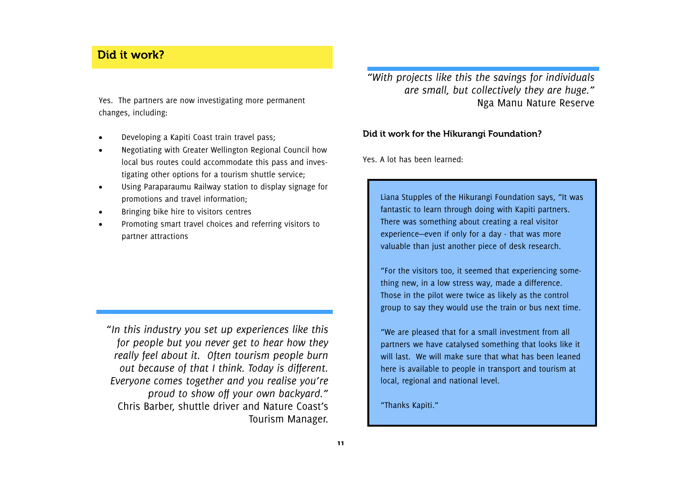# Did it work?

Yes. The partners are now investigating more permanent changes, including:

- Developing a Kapiti Coast train travel pass;
- Negotiating with Greater Wellington Regional Council how local bus routes could accommodate this pass and investigating other options for a tourism shuttle service;
- Using Paraparaumu Railway station to display signage for promotions and travel information;
- Bringing bike hire to visitors centres
- Promoting smart travel choices and referring visitors to partner attractions

"*In this industry you set up experiences like this for people but you never get to hear how they really feel about it. Often tourism people burn out because of that I think. Today is different. Everyone comes together and you realise you're proud to show off your own backyard."* Chris Barber, shuttle driver and Nature Coast's Tourism Manager. *"With projects like this the savings for individuals are small, but collectively they are huge."* Nga Manu Nature Reserve

### Did it work for the Hikurangi Foundation?

Yes. A lot has been learned:

Liana Stupples of the Hikurangi Foundation says, "It was fantastic to learn through doing with Kapiti partners. There was something about creating a real visitor experience—even if only for a day - that was more valuable than just another piece of desk research.

"For the visitors too, it seemed that experiencing something new, in a low stress way, made a difference. Those in the pilot were twice as likely as the control group to say they would use the train or bus next time.

"We are pleased that for a small investment from all partners we have catalysed something that looks like it will last. We will make sure that what has been leaned here is available to people in transport and tourism at local, regional and national level.

"Thanks Kapiti."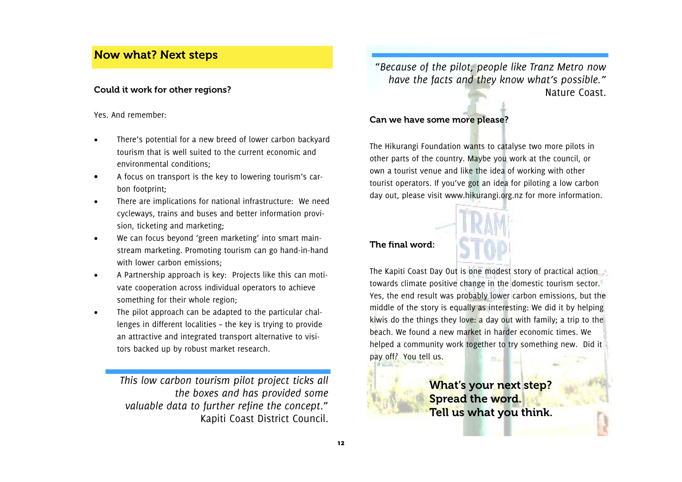# Now what? Next steps

### Could it work for other regions?

Yes. And remember:

- There's potential for a new breed of lower carbon backyard tourism that is well suited to the current economic and environmental conditions;
- A focus on transport is the key to lowering tourism's carbon footprint;
- There are implications for national infrastructure: We need cycleways, trains and buses and better information provision, ticketing and marketing;
- We can focus beyond 'green marketing' into smart mainstream marketing. Promoting tourism can go hand-in-hand with lower carbon emissions;
- A Partnership approach is key: Projects like this can motivate cooperation across individual operators to achieve something for their whole region;
- The pilot approach can be adapted to the particular challenges in different localities – the key is trying to provide an attractive and integrated transport alternative to visitors backed up by robust market research.

*This low carbon tourism pilot project ticks all the boxes and has provided some valuable data to further refine the concept*." Kapiti Coast District Council.

"*Because of the pilot, people like Tranz Metro now have the facts and they know what's possible."* Nature Coast.

## Can we have some more please?

The Hikurangi Foundation wants to catalyse two more pilots in other parts of the country. Maybe you work at the council, or own a tourist venue and like the idea of working with other tourist operators. If you've got an idea for piloting a low carbon day out, please visit www.hikurangi.org.nz for more information.



The final word:

The Kapiti Coast Day Out is one modest story of practical action towards climate positive change in the domestic tourism sector. Yes, the end result was probably lower carbon emissions, but the middle of the story is equally as interesting: We did it by helping kiwis do the things they love: a day out with family; a trip to the beach. We found a new market in harder economic times. We helped a community work together to try something new. Did it pay off? You tell us. 15.

> What's your next step? Spread the word. Tell us what you think.